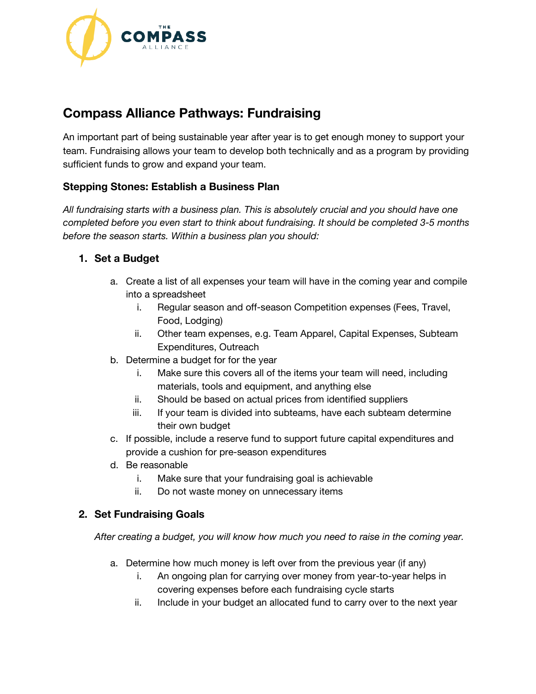

# **Compass Alliance Pathways: Fundraising**

An important part of being sustainable year after year is to get enough money to support your team. Fundraising allows your team to develop both technically and as a program by providing sufficient funds to grow and expand your team.

# **Stepping Stones: Establish a Business Plan**

*All fundraising starts with a business plan. This is absolutely crucial and you should have one completed before you even start to think about fundraising. It should be completed 3-5 months before the season starts. Within a business plan you should:*

# **1. Set a Budget**

- a. Create a list of all expenses your team will have in the coming year and compile into a spreadsheet
	- i. Regular season and off-season Competition expenses (Fees, Travel, Food, Lodging)
	- ii. Other team expenses, e.g. Team Apparel, Capital Expenses, Subteam Expenditures, Outreach
- b. Determine a budget for for the year
	- i. Make sure this covers all of the items your team will need, including materials, tools and equipment, and anything else
	- ii. Should be based on actual prices from identified suppliers
	- iii. If your team is divided into subteams, have each subteam determine their own budget
- c. If possible, include a reserve fund to support future capital expenditures and provide a cushion for pre-season expenditures
- d. Be reasonable
	- i. Make sure that your fundraising goal is achievable
	- ii. Do not waste money on unnecessary items

# **2. Set Fundraising Goals**

*After creating a budget, you will know how much you need to raise in the coming year.*

- a. Determine how much money is left over from the previous year (if any)
	- i. An ongoing plan for carrying over money from year-to-year helps in covering expenses before each fundraising cycle starts
	- ii. Include in your budget an allocated fund to carry over to the next year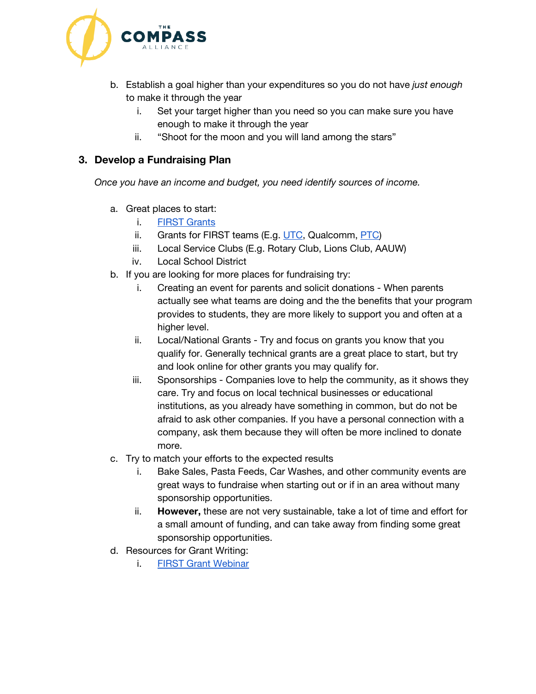

- b. Establish a goal higher than your expenditures so you do not have *just enough* to make it through the year
	- i. Set your target higher than you need so you can make sure you have enough to make it through the year
	- ii. "Shoot for the moon and you will land among the stars"

# **3. Develop a Fundraising Plan**

*Once you have an income and budget, you need identify sources of income.*

- a. Great places to start:
	- i. FIRST [Grants](https://www.firstinspires.org/robotics/frc/grants)
	- ii. Grants for FIRST teams (E.g.  $UTC$ , Qualcomm, [PTC\)](https://www.ptc.com/en/academic-program/k-12-program/students/first)
	- iii. Local Service Clubs (E.g. Rotary Club, Lions Club, AAUW)
	- iv. Local School District
- b. If you are looking for more places for fundraising try:
	- i. Creating an event for parents and solicit donations When parents actually see what teams are doing and the the benefits that your program provides to students, they are more likely to support you and often at a higher level.
	- ii. Local/National Grants Try and focus on grants you know that you qualify for. Generally technical grants are a great place to start, but try and look online for other grants you may qualify for.
	- iii. Sponsorships Companies love to help the community, as it shows they care. Try and focus on local technical businesses or educational institutions, as you already have something in common, but do not be afraid to ask other companies. If you have a personal connection with a company, ask them because they will often be more inclined to donate more.
- c. Try to match your efforts to the expected results
	- i. Bake Sales, Pasta Feeds, Car Washes, and other community events are great ways to fundraise when starting out or if in an area without many sponsorship opportunities.
	- ii. **However,** these are not very sustainable, take a lot of time and effort for a small amount of funding, and can take away from finding some great sponsorship opportunities.
- d. Resources for Grant Writing:
	- i. FIRST Grant [Webinar](https://www.youtube.com/watch?v=K10_1antTw4&list=PLumXeb1tOUyQarhLKOpN5-2pA-seKdDEZ&feature=share&index=11)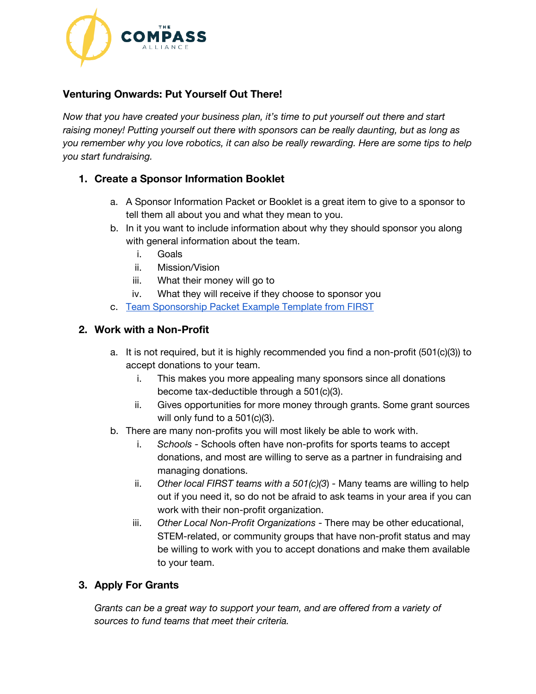

# **Venturing Onwards: Put Yourself Out There!**

*Now that you have created your business plan, it's time to put yourself out there and start raising money! Putting yourself out there with sponsors can be really daunting, but as long as you remember why you love robotics, it can also be really rewarding. Here are some tips to help you start fundraising.*

## **1. Create a Sponsor Information Booklet**

- a. A Sponsor Information Packet or Booklet is a great item to give to a sponsor to tell them all about you and what they mean to you.
- b. In it you want to include information about why they should sponsor you along with general information about the team.
	- i. Goals
	- ii. Mission/Vision
	- iii. What their money will go to
	- iv. What they will receive if they choose to sponsor you
- c. Team [Sponsorship](https://www.firstinspires.org/sites/default/files/uploads/resource_library/fundraising-toolkit/section-3-team-documentation.pdf) Packet Example Template from FIRST

#### **2. Work with a Non-Profit**

- a. It is not required, but it is highly recommended you find a non-profit (501(c)(3)) to accept donations to your team.
	- i. This makes you more appealing many sponsors since all donations become tax-deductible through a 501(c)(3).
	- ii. Gives opportunities for more money through grants. Some grant sources will only fund to a 501(c)(3).
- b. There are many non-profits you will most likely be able to work with.
	- i. *Schools* Schools often have non-profits for sports teams to accept donations, and most are willing to serve as a partner in fundraising and managing donations.
	- ii. *Other local FIRST teams with a 501(c)(3*) Many teams are willing to help out if you need it, so do not be afraid to ask teams in your area if you can work with their non-profit organization.
	- iii. *Other Local Non-Profit Organizations* There may be other educational, STEM-related, or community groups that have non-profit status and may be willing to work with you to accept donations and make them available to your team.

# **3. Apply For Grants**

*Grants can be a great way to support your team, and are offered from a variety of sources to fund teams that meet their criteria.*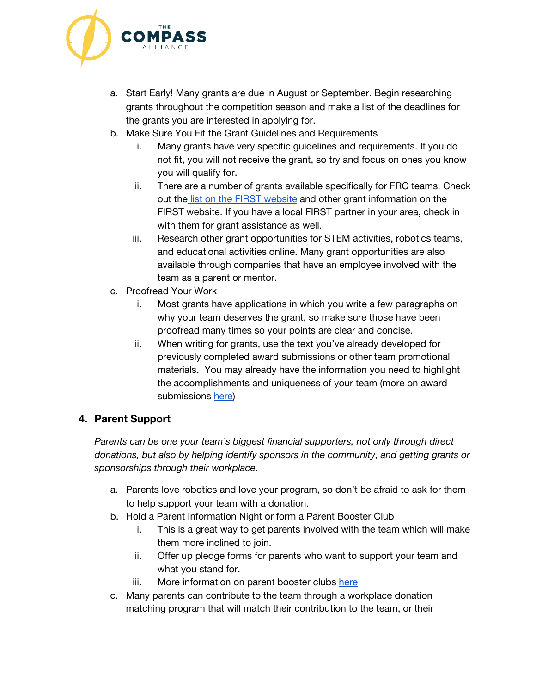

- a. Start Early! Many grants are due in August or September. Begin researching grants throughout the competition season and make a list of the deadlines for the grants you are interested in applying for.
- b. Make Sure You Fit the Grant Guidelines and Requirements
	- i. Many grants have very specific guidelines and requirements. If you do not fit, you will not receive the grant, so try and focus on ones you know you will qualify for.
	- ii. There are a number of grants available specifically for FRC teams. Check out the list on the FIRST [website](https://www.firstinspires.org/robotics/frc/grants) and other grant information on the FIRST website. If you have a local FIRST partner in your area, check in with them for grant assistance as well.
	- iii. Research other grant opportunities for STEM activities, robotics teams, and educational activities online. Many grant opportunities are also available through companies that have an employee involved with the team as a parent or mentor.
- c. Proofread Your Work
	- i. Most grants have applications in which you write a few paragraphs on why your team deserves the grant, so make sure those have been proofread many times so your points are clear and concise.
	- ii. When writing for grants, use the text you've already developed for previously completed award submissions or other team promotional materials. You may already have the information you need to highlight the accomplishments and uniqueness of your team (more on award submissions [here\)](https://drive.google.com/open?id=1pqD8pL48TtDk9ccEvTN6ocyh0k9k3Izv)

# **4. Parent Support**

*Parents can be one your team's biggest financial supporters, not only through direct donations, but also by helping identify sponsors in the community, and getting grants or sponsorships through their workplace.*

- a. Parents love robotics and love your program, so don't be afraid to ask for them to help support your team with a donation.
- b. Hold a Parent Information Night or form a Parent Booster Club
	- i. This is a great way to get parents involved with the team which will make them more inclined to join.
	- ii. Offer up pledge forms for parents who want to support your team and what you stand for.
	- iii. More information on parent booster clubs [here](https://www.firstinspires.org/sites/default/files/uploads/resource_library/fundraising-toolkit/frc-2220-parent-booster-club-white-paper.pdf)
- c. Many parents can contribute to the team through a workplace donation matching program that will match their contribution to the team, or their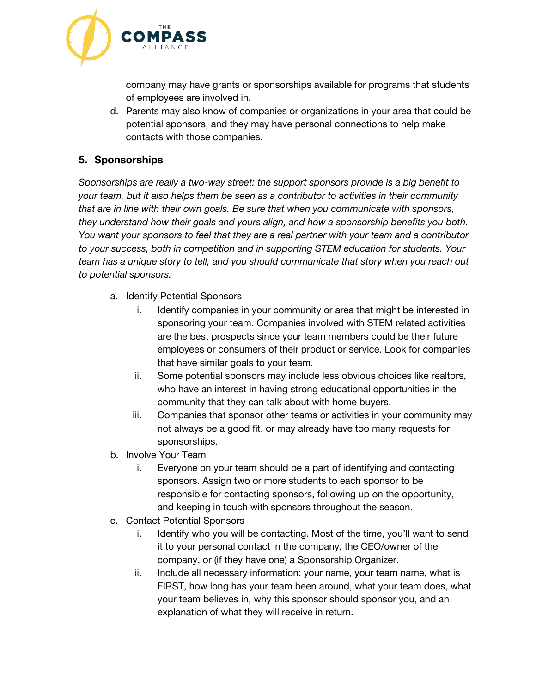

company may have grants or sponsorships available for programs that students of employees are involved in.

d. Parents may also know of companies or organizations in your area that could be potential sponsors, and they may have personal connections to help make contacts with those companies.

## **5. Sponsorships**

*Sponsorships are really a two-way street: the support sponsors provide is a big benefit to your team, but it also helps them be seen as a contributor to activities in their community that are in line with their own goals. Be sure that when you communicate with sponsors, they understand how their goals and yours align, and how a sponsorship benefits you both. You want your sponsors to feel that they are a real partner with your team and a contributor to your success, both in competition and in supporting STEM education for students. Your team has a unique story to tell, and you should communicate that story when you reach out to potential sponsors.*

- a. Identify Potential Sponsors
	- i. Identify companies in your community or area that might be interested in sponsoring your team. Companies involved with STEM related activities are the best prospects since your team members could be their future employees or consumers of their product or service. Look for companies that have similar goals to your team.
	- ii. Some potential sponsors may include less obvious choices like realtors, who have an interest in having strong educational opportunities in the community that they can talk about with home buyers.
	- iii. Companies that sponsor other teams or activities in your community may not always be a good fit, or may already have too many requests for sponsorships.
- b. Involve Your Team
	- i. Everyone on your team should be a part of identifying and contacting sponsors. Assign two or more students to each sponsor to be responsible for contacting sponsors, following up on the opportunity, and keeping in touch with sponsors throughout the season.
- c. Contact Potential Sponsors
	- i. Identify who you will be contacting. Most of the time, you'll want to send it to your personal contact in the company, the CEO/owner of the company, or (if they have one) a Sponsorship Organizer.
	- ii. Include all necessary information: your name, your team name, what is FIRST, how long has your team been around, what your team does, what your team believes in, why this sponsor should sponsor you, and an explanation of what they will receive in return.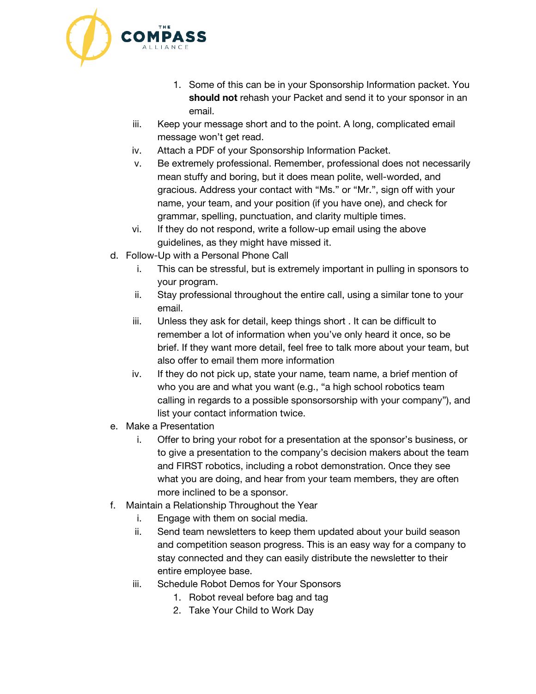

- 1. Some of this can be in your Sponsorship Information packet. You **should not** rehash your Packet and send it to your sponsor in an email.
- iii. Keep your message short and to the point. A long, complicated email message won't get read.
- iv. Attach a PDF of your Sponsorship Information Packet.
- v. Be extremely professional. Remember, professional does not necessarily mean stuffy and boring, but it does mean polite, well-worded, and gracious. Address your contact with "Ms." or "Mr.", sign off with your name, your team, and your position (if you have one), and check for grammar, spelling, punctuation, and clarity multiple times.
- vi. If they do not respond, write a follow-up email using the above guidelines, as they might have missed it.
- d. Follow-Up with a Personal Phone Call
	- i. This can be stressful, but is extremely important in pulling in sponsors to your program.
	- ii. Stay professional throughout the entire call, using a similar tone to your email.
	- iii. Unless they ask for detail, keep things short . It can be difficult to remember a lot of information when you've only heard it once, so be brief. If they want more detail, feel free to talk more about your team, but also offer to email them more information
	- iv. If they do not pick up, state your name, team name, a brief mention of who you are and what you want (e.g., "a high school robotics team calling in regards to a possible sponsorsorship with your company"), and list your contact information twice.
- e. Make a Presentation
	- i. Offer to bring your robot for a presentation at the sponsor's business, or to give a presentation to the company's decision makers about the team and FIRST robotics, including a robot demonstration. Once they see what you are doing, and hear from your team members, they are often more inclined to be a sponsor.
- f. Maintain a Relationship Throughout the Year
	- i. Engage with them on social media.
	- ii. Send team newsletters to keep them updated about your build season and competition season progress. This is an easy way for a company to stay connected and they can easily distribute the newsletter to their entire employee base.
	- iii. Schedule Robot Demos for Your Sponsors
		- 1. Robot reveal before bag and tag
		- 2. Take Your Child to Work Day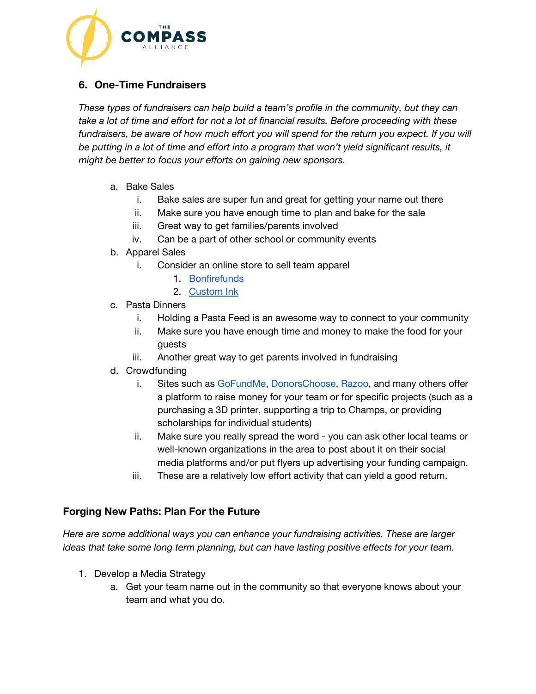

# **6. One-Time Fundraisers**

*These types of fundraisers can help build a team's profile in the community, but they can take a lot of time and effort for not a lot of financial results. Before proceeding with these fundraisers, be aware of how much effort you will spend for the return you expect. If you will be putting in a lot of time and effort into a program that won't yield significant results, it might be better to focus your efforts on gaining new sponsors.*

- a. Bake Sales
	- i. Bake sales are super fun and great for getting your name out there
	- ii. Make sure you have enough time to plan and bake for the sale
	- iii. Great way to get families/parents involved
	- iv. Can be a part of other school or community events
- b. Apparel Sales
	- i. Consider an online store to sell team apparel
		- 1. [Bonfirefunds](https://www.bonfirefunds.com/)
		- 2. [Custom](https://www.customink.com/fundraising) Ink
- c. Pasta Dinners
	- i. Holding a Pasta Feed is an awesome way to connect to your community
	- ii. Make sure you have enough time and money to make the food for your guests
	- iii. Another great way to get parents involved in fundraising
- d. Crowdfunding
	- i. Sites such as [GoFundMe,](https://www.gofundme.com/) [DonorsChoose](https://www.donorschoose.org/teachers), [Razoo](https://www.razoo.com/), and many others offer a platform to raise money for your team or for specific projects (such as a purchasing a 3D printer, supporting a trip to Champs, or providing scholarships for individual students)
	- ii. Make sure you really spread the word you can ask other local teams or well-known organizations in the area to post about it on their social media platforms and/or put flyers up advertising your funding campaign.
	- iii. These are a relatively low effort activity that can yield a good return.

#### **Forging New Paths: Plan For the Future**

*Here are some additional ways you can enhance your fundraising activities. These are larger ideas that take some long term planning, but can have lasting positive effects for your team.*

- 1. Develop a Media Strategy
	- a. Get your team name out in the community so that everyone knows about your team and what you do.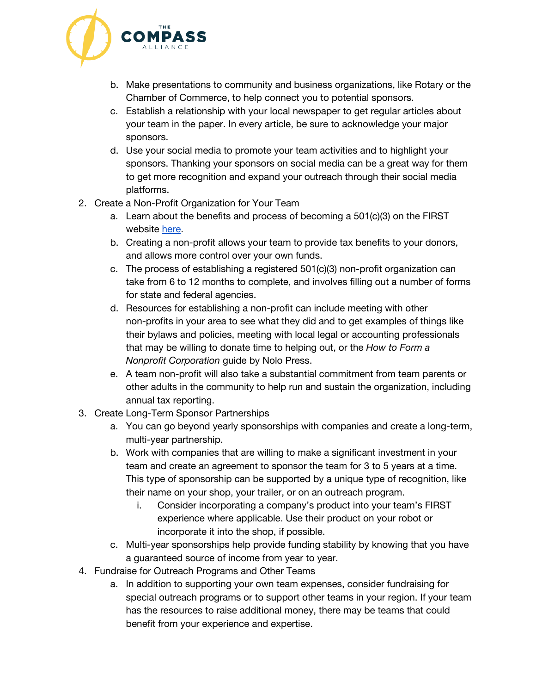

- b. Make presentations to community and business organizations, like Rotary or the Chamber of Commerce, to help connect you to potential sponsors.
- c. Establish a relationship with your local newspaper to get regular articles about your team in the paper. In every article, be sure to acknowledge your major sponsors.
- d. Use your social media to promote your team activities and to highlight your sponsors. Thanking your sponsors on social media can be a great way for them to get more recognition and expand your outreach through their social media platforms.
- 2. Create a Non-Profit Organization for Your Team
	- a. Learn about the benefits and process of becoming a 501(c)(3) on the FIRST website [here.](https://www.firstinspires.org/sites/default/files/uploads/resource_library/fundraising-toolkit/section-6-501c3-pros-cons-and-alternatives-final.pdf)
	- b. Creating a non-profit allows your team to provide tax benefits to your donors, and allows more control over your own funds.
	- c. The process of establishing a registered 501(c)(3) non-profit organization can take from 6 to 12 months to complete, and involves filling out a number of forms for state and federal agencies.
	- d. Resources for establishing a non-profit can include meeting with other non-profits in your area to see what they did and to get examples of things like their bylaws and policies, meeting with local legal or accounting professionals that may be willing to donate time to helping out, or the *How to Form a Nonprofit Corporation* guide by Nolo Press.
	- e. A team non-profit will also take a substantial commitment from team parents or other adults in the community to help run and sustain the organization, including annual tax reporting.
- 3. Create Long-Term Sponsor Partnerships
	- a. You can go beyond yearly sponsorships with companies and create a long-term, multi-year partnership.
	- b. Work with companies that are willing to make a significant investment in your team and create an agreement to sponsor the team for 3 to 5 years at a time. This type of sponsorship can be supported by a unique type of recognition, like their name on your shop, your trailer, or on an outreach program.
		- i. Consider incorporating a company's product into your team's FIRST experience where applicable. Use their product on your robot or incorporate it into the shop, if possible.
	- c. Multi-year sponsorships help provide funding stability by knowing that you have a guaranteed source of income from year to year.
- 4. Fundraise for Outreach Programs and Other Teams
	- a. In addition to supporting your own team expenses, consider fundraising for special outreach programs or to support other teams in your region. If your team has the resources to raise additional money, there may be teams that could benefit from your experience and expertise.